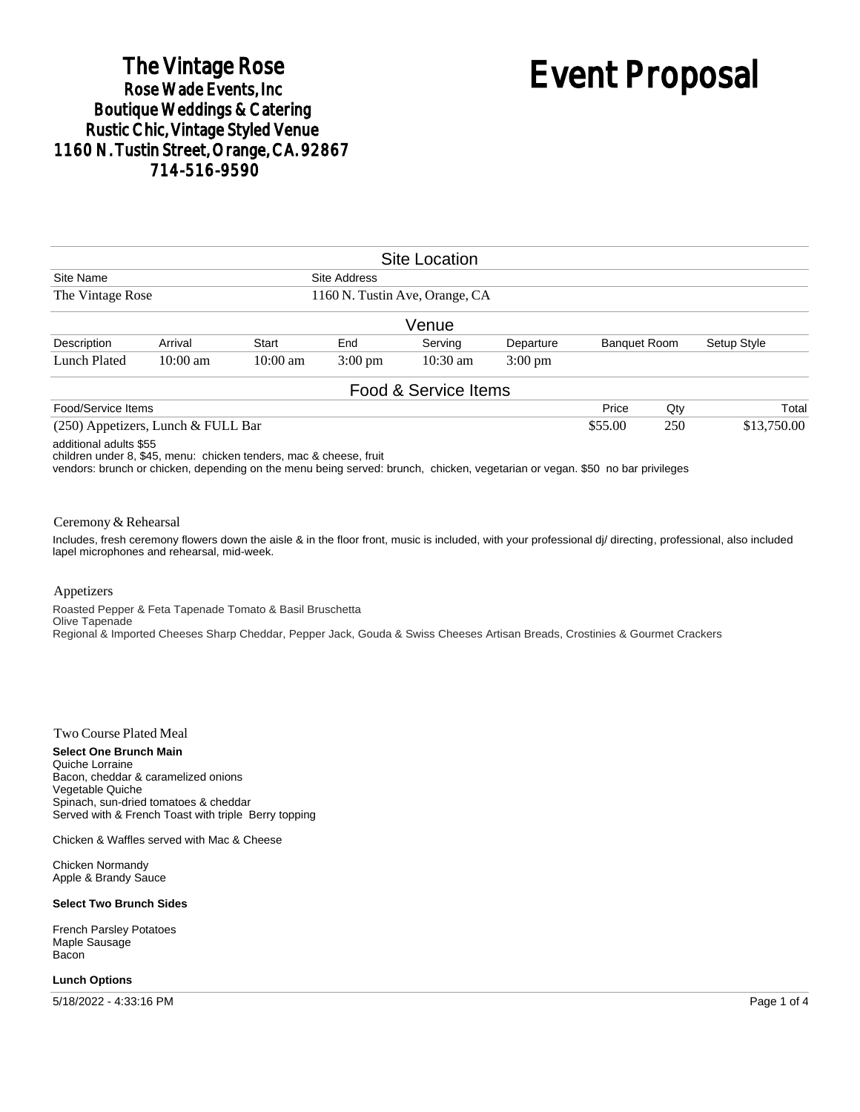## The Vintage Rose<br>Rose Wade Events, Inc **Boutique Weddings & Catering Rustic Chic, Vintage Styled Venue** 1160 N. Tustin Street, Orange, CA. 92867 714-516-9590

# Event Proposal

|                               |                                      |            |                                                | <b>Site Location</b> |                   |                     |     |             |             |
|-------------------------------|--------------------------------------|------------|------------------------------------------------|----------------------|-------------------|---------------------|-----|-------------|-------------|
| Site Name<br>The Vintage Rose |                                      |            | Site Address<br>1160 N. Tustin Ave, Orange, CA |                      |                   |                     |     |             |             |
|                               |                                      |            |                                                |                      |                   |                     |     |             |             |
|                               |                                      |            |                                                | Venue                |                   |                     |     |             |             |
| Description                   | Arrival                              | Start      | End                                            | Serving              | Departure         | <b>Banquet Room</b> |     | Setup Style |             |
| Lunch Plated                  | $10:00$ am                           | $10:00$ am | $3:00 \text{ pm}$                              | $10:30 \text{ am}$   | $3:00 \text{ pm}$ |                     |     |             |             |
|                               |                                      |            |                                                | Food & Service Items |                   |                     |     |             |             |
| Food/Service Items            |                                      |            |                                                |                      |                   | Price               | Qty |             | Total       |
|                               | $(250)$ Appetizers, Lunch & FULL Bar |            |                                                |                      |                   | \$55.00             | 250 |             | \$13,750.00 |

additional adults \$55

children under 8, \$45, menu: chicken tenders, mac & cheese, fruit

vendors: brunch or chicken, depending on the menu being served: brunch, chicken, vegetarian or vegan. \$50 no bar privileges

#### Ceremony & Rehearsal

Includes, fresh ceremony flowers down the aisle & in the floor front, music is included, with your professional dj/ directing, professional, also included lapel microphones and rehearsal, mid-week.

#### Appetizers

Roasted Pepper & Feta Tapenade Tomato & Basil Bruschetta Olive Tapenade Regional & Imported Cheeses Sharp Cheddar, Pepper Jack, Gouda & Swiss Cheeses Artisan Breads, Crostinies & Gourmet Crackers

#### Two Course Plated Meal

**Select One Brunch Main** Quiche Lorraine Bacon, cheddar & caramelized onions Vegetable Quiche Spinach, sun-dried tomatoes & cheddar Served with & French Toast with triple Berry topping

Chicken & Waffles served with Mac & Cheese

Chicken Normandy Apple & Brandy Sauce

#### **Select Two Brunch Sides**

French Parsley Potatoes Maple Sausage Bacon

#### **Lunch Options**

5/18/2022 - 4:33:16 PM Page 1 of 4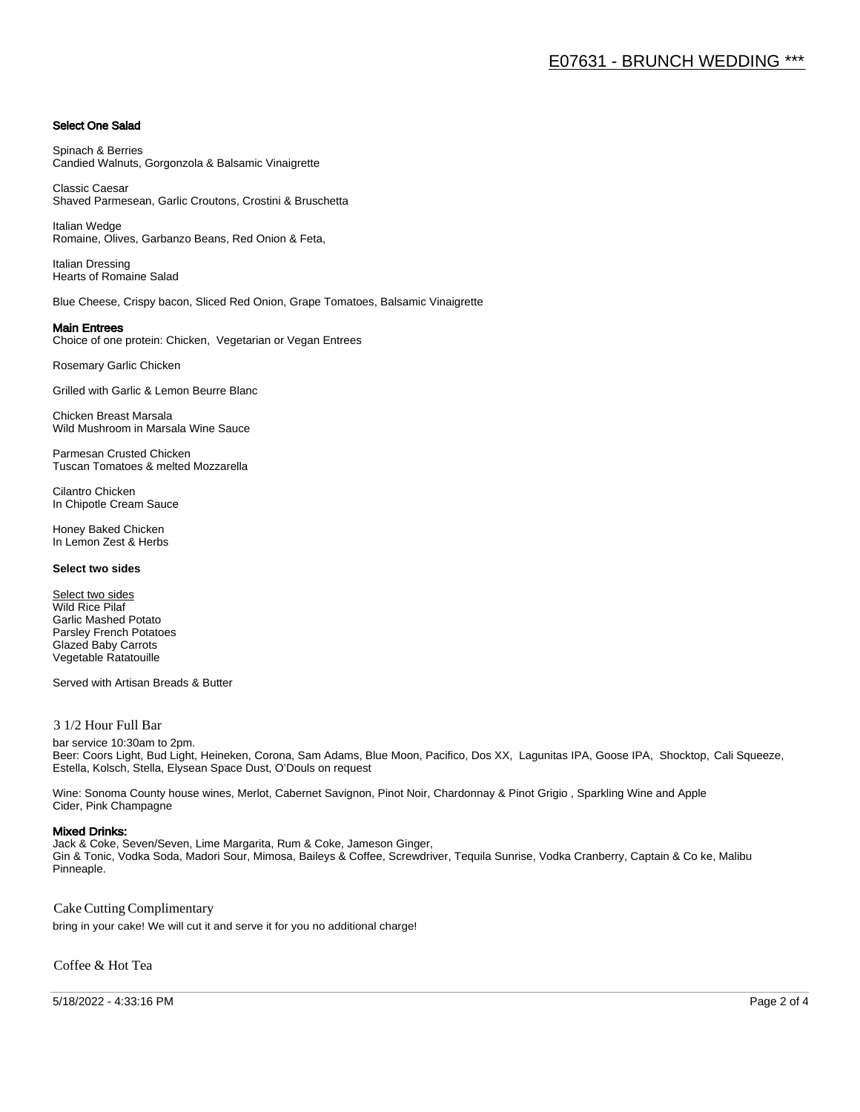#### Select One Salad

Spinach & Berries Candied Walnuts, Gorgonzola & Balsamic Vinaigrette

Classic Caesar Shaved Parmesean, Garlic Croutons, Crostini & Bruschetta

Italian Wedge Romaine, Olives, Garbanzo Beans, Red Onion & Feta,

Italian Dressing Hearts of Romaine Salad

Blue Cheese, Crispy bacon, Sliced Red Onion, Grape Tomatoes, Balsamic Vinaigrette

#### Main Entrees

Choice of one protein: Chicken, Vegetarian or Vegan Entrees

Rosemary Garlic Chicken

Grilled with Garlic & Lemon Beurre Blanc

Chicken Breast Marsala Wild Mushroom in Marsala Wine Sauce

Parmesan Crusted Chicken Tuscan Tomatoes & melted Mozzarella

Cilantro Chicken In Chipotle Cream Sauce

Honey Baked Chicken In Lemon Zest & Herbs

#### **Select two sides**

Select two sides Wild Rice Pilaf Garlic Mashed Potato Parsley French Potatoes Glazed Baby Carrots Vegetable Ratatouille

Served with Artisan Breads & Butter

#### 3 1/2 Hour Full Bar

bar service 10:30am to 2pm. Beer: Coors Light, Bud Light, Heineken, Corona, Sam Adams, Blue Moon, Pacifico, Dos XX, Lagunitas IPA, Goose IPA, Shocktop, Cali Squeeze, Estella, Kolsch, Stella, Elysean Space Dust, O'Douls on request

Wine: Sonoma County house wines, Merlot, Cabernet Savignon, Pinot Noir, Chardonnay & Pinot Grigio , Sparkling Wine and Apple Cider, Pink Champagne

#### Mixed Drinks:

Jack & Coke, Seven/Seven, Lime Margarita, Rum & Coke, Jameson Ginger, Gin & Tonic, Vodka Soda, Madori Sour, Mimosa, Baileys & Coffee, Screwdriver, Tequila Sunrise, Vodka Cranberry, Captain & Co ke, Malibu Pinneaple.

Cake Cutting Complimentary

bring in your cake! We will cut it and serve it for you no additional charge!

Coffee & Hot Tea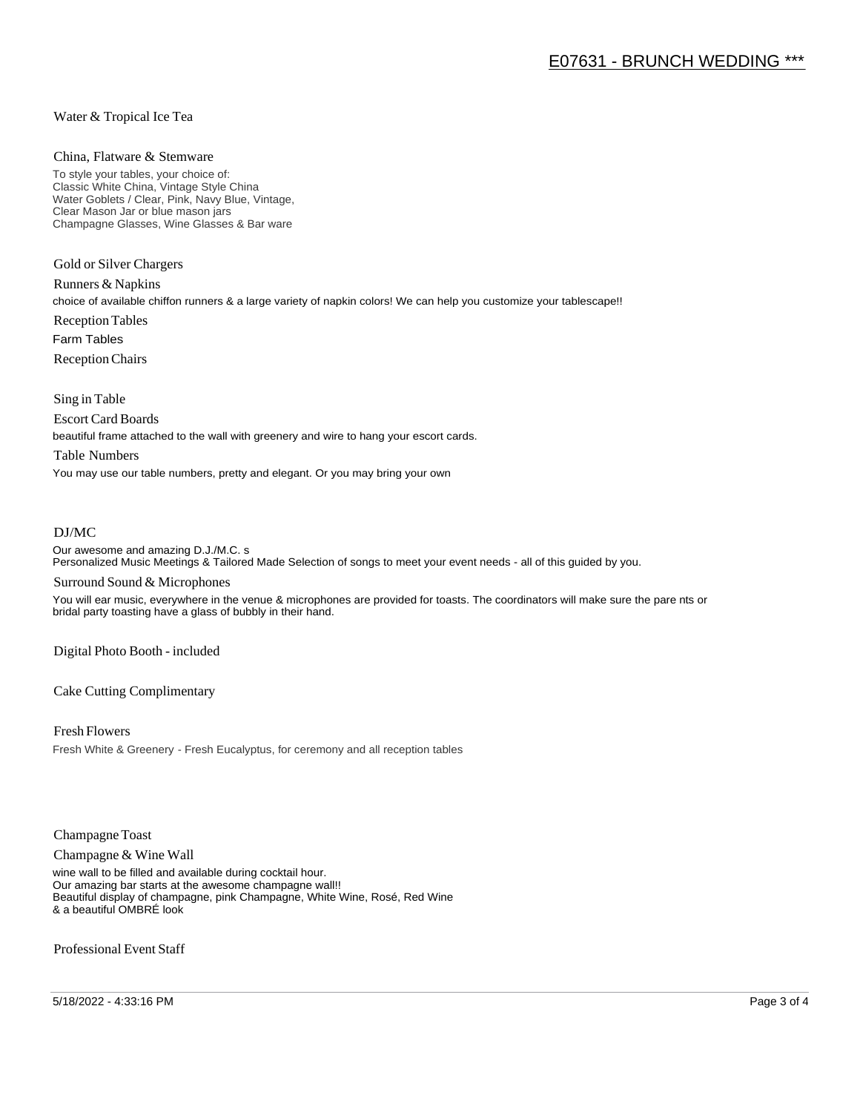#### Water & Tropical Ice Tea

#### China, Flatware & Stemware

To style your tables, your choice of: Classic White China, Vintage Style China Water Goblets / Clear, Pink, Navy Blue, Vintage, Clear Mason Jar or blue mason jars Champagne Glasses, Wine Glasses & Bar ware

Gold or Silver Chargers

Runners & Napkins choice of available chiffon runners & a large variety of napkin colors! We can help you customize your tablescape!! Reception Tables Farm Tables Reception Chairs

Sing in Table

Escort Card Boards

beautiful frame attached to the wall with greenery and wire to hang your escort cards.

#### Table Numbers

You may use our table numbers, pretty and elegant. Or you may bring your own

#### DJ/MC

Our awesome and amazing D.J./M.C. s Personalized Music Meetings & Tailored Made Selection of songs to meet your event needs - all of this guided by you.

#### Surround Sound & Microphones

You will ear music, everywhere in the venue & microphones are provided for toasts. The coordinators will make sure the pare nts or bridal party toasting have a glass of bubbly in their hand.

Digital Photo Booth - included

Cake Cutting Complimentary

Fresh Flowers Fresh White & Greenery - Fresh Eucalyptus, for ceremony and all reception tables

Champagne Toast

Champagne & Wine Wall

wine wall to be filled and available during cocktail hour. Our amazing bar starts at the awesome champagne wall!! Beautiful display of champagne, pink Champagne, White Wine, Rosé, Red Wine & a beautiful OMBRÉ look

Professional Event Staff